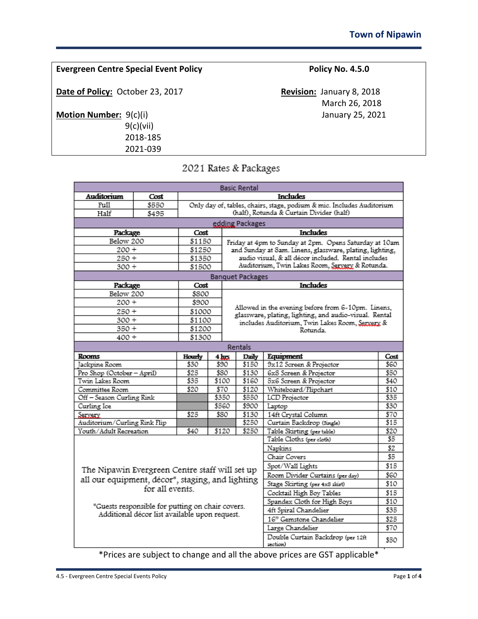9(c)(vii) 2018-185 2021-039

2021 Rates & Packages

| Auditorium<br><b>Includes</b><br>Cost                                                   |                                                                                                              |  |
|-----------------------------------------------------------------------------------------|--------------------------------------------------------------------------------------------------------------|--|
|                                                                                         |                                                                                                              |  |
| Full<br>\$550                                                                           | Only day of, tables, chairs, stage, podium & mic. Includes Auditorium                                        |  |
| Half<br>\$495                                                                           | (half), Rotunda & Curtain Divider (half)                                                                     |  |
| edding Packages                                                                         |                                                                                                              |  |
| <b>Includes</b><br>Cost<br>Package                                                      |                                                                                                              |  |
| Below 200<br>\$1150                                                                     | Friday at 4pm to Sunday at 2pm. Opens Saturday at 10am                                                       |  |
| $200 +$<br>\$1250                                                                       | and Sunday at Sam. Linens, glassware, plating, lighting,                                                     |  |
| 250+<br>\$1350                                                                          | audio visual, & all décor included. Rental includes                                                          |  |
| $300 +$<br>\$1500                                                                       | Auditorium, Twin Lakes Room, Servery & Rotunda.                                                              |  |
| <b>Banquet Packages</b>                                                                 |                                                                                                              |  |
| <b>Includes</b><br>Package<br>Cost                                                      |                                                                                                              |  |
| Below 200<br>\$800                                                                      |                                                                                                              |  |
| $200 +$<br>\$900                                                                        |                                                                                                              |  |
| 250 +<br>\$1000                                                                         | Allowed in the evening before from 6-10pm. Linens,<br>glassware, plating, lighting, and audio-visual. Rental |  |
| $300 +$<br>\$1100                                                                       | includes Auditorium, Twin Lakes Room, Servery &                                                              |  |
| \$1200<br>$350 +$<br>Rotunda                                                            |                                                                                                              |  |
| 400 +<br>\$1300                                                                         |                                                                                                              |  |
| Rentals                                                                                 |                                                                                                              |  |
| Equipment<br>Rooms<br>Daily<br>Hourly<br>$4 \, \mathrm{km}$                             | Cost                                                                                                         |  |
| 9x12 Screen & Projector<br>Jackpine Room<br>\$150<br>\$30<br>\$90                       | 860                                                                                                          |  |
| Pro Shop (October - April)<br>\$25<br>6x8 Screen & Projector<br>\$80<br>\$130           | \$50                                                                                                         |  |
| Twin Lakes Room<br>\$35<br>\$100<br>\$160<br>5x6 Screen & Projector                     | S40.                                                                                                         |  |
| \$20<br>\$70<br>\$120<br>Committee Room<br>Whiteboard/Flipchart                         | \$10                                                                                                         |  |
| Off - Season Curling Rink<br><b>LCD</b> Projector<br>\$350<br>\$550                     | \$35                                                                                                         |  |
| \$560<br>\$900<br>Curling Ice<br>Laptop                                                 | \$30                                                                                                         |  |
| \$130<br>14ft Crystal Column<br>\$25<br>\$80<br>Servery.                                | \$70                                                                                                         |  |
| \$250<br>Curtain Backdrop (Single)<br>Auditorium/Curling Rink Flip                      | \$15                                                                                                         |  |
| Youth/Adult Recreation<br>\$250<br>\$40<br>\$120<br>Table Skirting (per table)          | \$20                                                                                                         |  |
| Table Cloths (per cloth)<br>\$5                                                         |                                                                                                              |  |
| Napkins                                                                                 | \$2                                                                                                          |  |
| Chair Covers                                                                            | \$5                                                                                                          |  |
| Spot/Wall Lights<br>The Nipawin Evergreen Centre staff will set up                      | \$15                                                                                                         |  |
| Room Divider Curtains (per day)<br>all our equipment, décor*, staging, and lighting     | \$60                                                                                                         |  |
| \$10<br>Stage Skirting (per 4x8 skirt)<br>for all events.                               |                                                                                                              |  |
| Cocktail High Boy Tables<br>\$15                                                        |                                                                                                              |  |
| Spandex Cloth for High Boys<br>\$10<br>*Guests responsible for putting on chair covers. |                                                                                                              |  |
| 4ft Spiral Chandelier<br>\$35<br>Additional décor list available upon request.          |                                                                                                              |  |
| 16" Gemstone Chandelier                                                                 | \$25                                                                                                         |  |
| Large Chandelier                                                                        | \$70                                                                                                         |  |
| Double Curtain Backdrop (per 12ft<br>section)                                           | \$50                                                                                                         |  |

\*Prices are subject to change and all the above prices are GST applicable\*

**Date of Policy:** October 23, 2017 **Revision:** January 8, 2018 March 26, 2018 **Motion Number:**  $9(c)(i)$  January 25, 2021

**Evergreen Centre Special Event Policy <b>Policy No. 4.5.0** Policy No. 4.5.0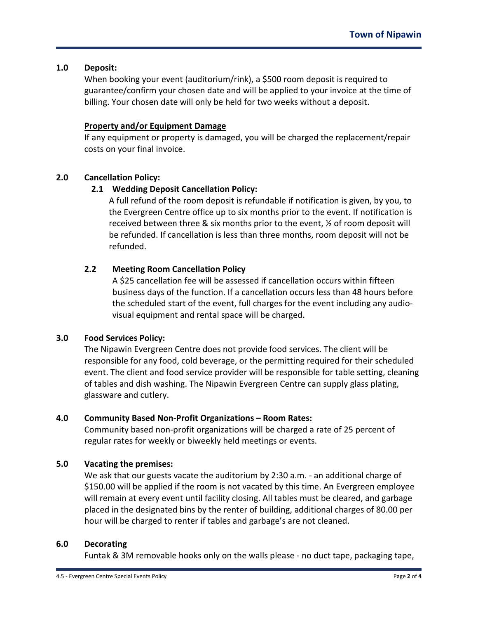### **1.0 Deposit:**

When booking your event (auditorium/rink), a \$500 room deposit is required to guarantee/confirm your chosen date and will be applied to your invoice at the time of billing. Your chosen date will only be held for two weeks without a deposit.

### **Property and/or Equipment Damage**

If any equipment or property is damaged, you will be charged the replacement/repair costs on your final invoice.

### **2.0 Cancellation Policy:**

### **2.1 Wedding Deposit Cancellation Policy:**

A full refund of the room deposit is refundable if notification is given, by you, to the Evergreen Centre office up to six months prior to the event. If notification is received between three & six months prior to the event, ½ of room deposit will be refunded. If cancellation is less than three months, room deposit will not be refunded.

# **2.2 Meeting Room Cancellation Policy**

A \$25 cancellation fee will be assessed if cancellation occurs within fifteen business days of the function. If a cancellation occurs less than 48 hours before the scheduled start of the event, full charges for the event including any audiovisual equipment and rental space will be charged.

#### **3.0 Food Services Policy:**

The Nipawin Evergreen Centre does not provide food services. The client will be responsible for any food, cold beverage, or the permitting required for their scheduled event. The client and food service provider will be responsible for table setting, cleaning of tables and dish washing. The Nipawin Evergreen Centre can supply glass plating, glassware and cutlery.

#### **4.0 Community Based Non-Profit Organizations – Room Rates:**

Community based non-profit organizations will be charged a rate of 25 percent of regular rates for weekly or biweekly held meetings or events.

# **5.0 Vacating the premises:**

We ask that our guests vacate the auditorium by 2:30 a.m. - an additional charge of \$150.00 will be applied if the room is not vacated by this time. An Evergreen employee will remain at every event until facility closing. All tables must be cleared, and garbage placed in the designated bins by the renter of building, additional charges of 80.00 per hour will be charged to renter if tables and garbage's are not cleaned.

#### **6.0 Decorating**

Funtak & 3M removable hooks only on the walls please - no duct tape, packaging tape,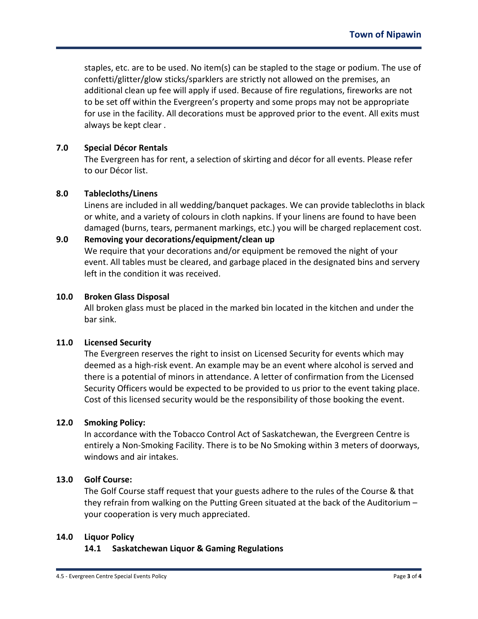staples, etc. are to be used. No item(s) can be stapled to the stage or podium. The use of confetti/glitter/glow sticks/sparklers are strictly not allowed on the premises, an additional clean up fee will apply if used. Because of fire regulations, fireworks are not to be set off within the Evergreen's property and some props may not be appropriate for use in the facility. All decorations must be approved prior to the event. All exits must always be kept clear .

#### **7.0 Special Décor Rentals**

The Evergreen has for rent, a selection of skirting and décor for all events. Please refer to our Décor list.

#### **8.0 Tablecloths/Linens**

Linens are included in all wedding/banquet packages. We can provide tablecloths in black or white, and a variety of colours in cloth napkins. If your linens are found to have been damaged (burns, tears, permanent markings, etc.) you will be charged replacement cost.

# **9.0 Removing your decorations/equipment/clean up** We require that your decorations and/or equipment be removed the night of your event. All tables must be cleared, and garbage placed in the designated bins and servery left in the condition it was received.

#### **10.0 Broken Glass Disposal**

All broken glass must be placed in the marked bin located in the kitchen and under the bar sink.

#### **11.0 Licensed Security**

The Evergreen reserves the right to insist on Licensed Security for events which may deemed as a high-risk event. An example may be an event where alcohol is served and there is a potential of minors in attendance. A letter of confirmation from the Licensed Security Officers would be expected to be provided to us prior to the event taking place. Cost of this licensed security would be the responsibility of those booking the event.

#### **12.0 Smoking Policy:**

In accordance with the Tobacco Control Act of Saskatchewan, the Evergreen Centre is entirely a Non-Smoking Facility. There is to be No Smoking within 3 meters of doorways, windows and air intakes.

#### **13.0 Golf Course:**

The Golf Course staff request that your guests adhere to the rules of the Course & that they refrain from walking on the Putting Green situated at the back of the Auditorium – your cooperation is very much appreciated.

#### **14.0 Liquor Policy**

#### **14.1 Saskatchewan Liquor & Gaming Regulations**